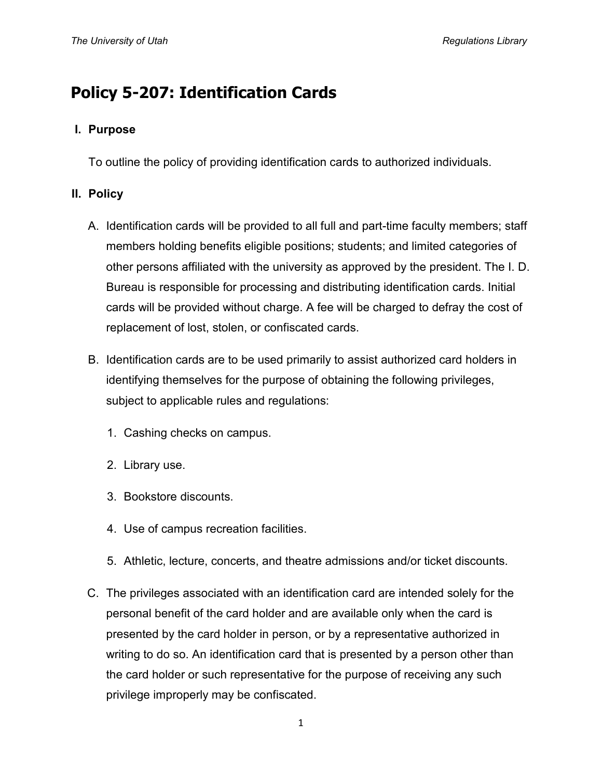# **Policy 5-207: Identification Cards**

### **I. Purpose**

To outline the policy of providing identification cards to authorized individuals.

## **II. Policy**

- A. Identification cards will be provided to all full and part-time faculty members; staff members holding benefits eligible positions; students; and limited categories of other persons affiliated with the university as approved by the president. The I. D. Bureau is responsible for processing and distributing identification cards. Initial cards will be provided without charge. A fee will be charged to defray the cost of replacement of lost, stolen, or confiscated cards.
- B. Identification cards are to be used primarily to assist authorized card holders in identifying themselves for the purpose of obtaining the following privileges, subject to applicable rules and regulations:
	- 1. Cashing checks on campus.
	- 2. Library use.
	- 3. Bookstore discounts.
	- 4. Use of campus recreation facilities.
	- 5. Athletic, lecture, concerts, and theatre admissions and/or ticket discounts.
- C. The privileges associated with an identification card are intended solely for the personal benefit of the card holder and are available only when the card is presented by the card holder in person, or by a representative authorized in writing to do so. An identification card that is presented by a person other than the card holder or such representative for the purpose of receiving any such privilege improperly may be confiscated.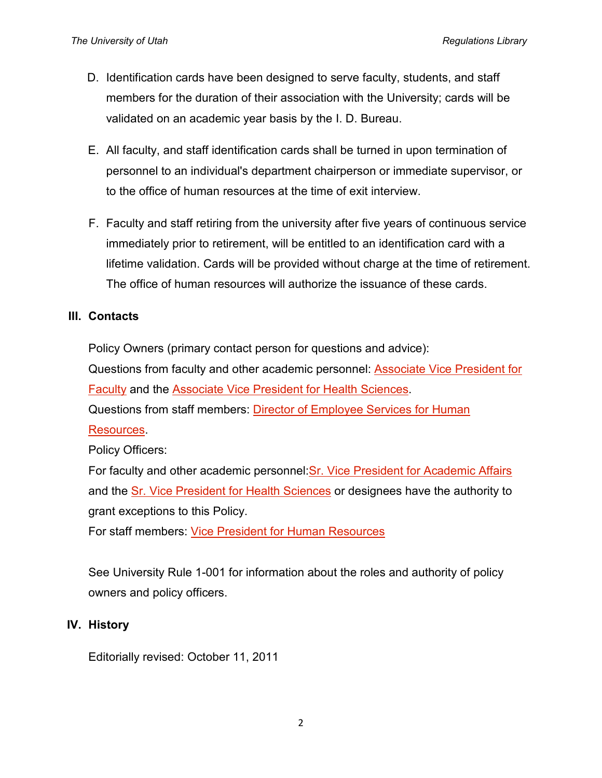- D. Identification cards have been designed to serve faculty, students, and staff members for the duration of their association with the University; cards will be validated on an academic year basis by the I. D. Bureau.
- E. All faculty, and staff identification cards shall be turned in upon termination of personnel to an individual's department chairperson or immediate supervisor, or to the office of human resources at the time of exit interview.
- F. Faculty and staff retiring from the university after five years of continuous service immediately prior to retirement, will be entitled to an identification card with a lifetime validation. Cards will be provided without charge at the time of retirement. The office of human resources will authorize the issuance of these cards.

### **III. Contacts**

Policy Owners (primary contact person for questions and advice):

Questions from faculty and other academic personnel: [Associate Vice President for](http://regulations.utah.edu/info/index.php)  [Faculty](http://regulations.utah.edu/info/index.php) and the [Associate Vice President for Health Sciences.](http://regulations.utah.edu/info/index.php)

Questions from staff members: [Director of Employee Services for Human](http://regulations.utah.edu/info/index.php) 

#### [Resources.](http://regulations.utah.edu/info/index.php)

Policy Officers:

For faculty and other academic personnel[:Sr. Vice President for Academic Affairs](http://regulations.utah.edu/info/index.php) and the [Sr. Vice President for Health Sciences](http://regulations.utah.edu/info/index.php) or designees have the authority to grant exceptions to this Policy.

For staff members: [Vice President for Human Resources](http://regulations.utah.edu/info/index.php) 

See University Rule 1-001 for information about the roles and authority of policy owners and policy officers.

### **IV. History**

Editorially revised: October 11, 2011